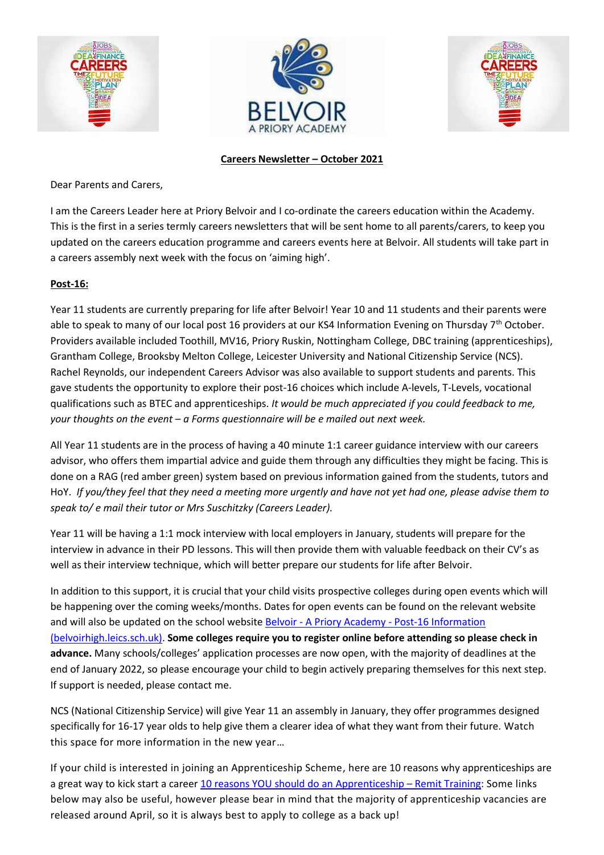





### **Careers Newsletter – October 2021**

Dear Parents and Carers,

I am the Careers Leader here at Priory Belvoir and I co-ordinate the careers education within the Academy. This is the first in a series termly careers newsletters that will be sent home to all parents/carers, to keep you updated on the careers education programme and careers events here at Belvoir. All students will take part in a careers assembly next week with the focus on 'aiming high'.

# **Post-16:**

Year 11 students are currently preparing for life after Belvoir! Year 10 and 11 students and their parents were able to speak to many of our local post 16 providers at our KS4 Information Evening on Thursday 7<sup>th</sup> October. Providers available included Toothill, MV16, Priory Ruskin, Nottingham College, DBC training (apprenticeships), Grantham College, Brooksby Melton College, Leicester University and National Citizenship Service (NCS). Rachel Reynolds, our independent Careers Advisor was also available to support students and parents. This gave students the opportunity to explore their post-16 choices which include A-levels, T-Levels, vocational qualifications such as BTEC and apprenticeships. *It would be much appreciated if you could feedback to me, your thoughts on the event – a Forms questionnaire will be e mailed out next week.*

All Year 11 students are in the process of having a 40 minute 1:1 career guidance interview with our careers advisor, who offers them impartial advice and guide them through any difficulties they might be facing. This is done on a RAG (red amber green) system based on previous information gained from the students, tutors and HoY. *If you/they feel that they need a meeting more urgently and have not yet had one, please advise them to speak to/ e mail their tutor or Mrs Suschitzky (Careers Leader).*

Year 11 will be having a 1:1 mock interview with local employers in January, students will prepare for the interview in advance in their PD lessons. This will then provide them with valuable feedback on their CV's as well as their interview technique, which will better prepare our students for life after Belvoir.

In addition to this support, it is crucial that your child visits prospective colleges during open events which will be happening over the coming weeks/months. Dates for open events can be found on the relevant website and will also be updated on the school website Belvoir - A Priory Academy - [Post-16 Information](https://www.belvoirhigh.leics.sch.uk/page/?title=Post%2D16+Information&pid=177)  [\(belvoirhigh.leics.sch.uk\).](https://www.belvoirhigh.leics.sch.uk/page/?title=Post%2D16+Information&pid=177) **Some colleges require you to register online before attending so please check in advance.** Many schools/colleges' application processes are now open, with the majority of deadlines at the end of January 2022, so please encourage your child to begin actively preparing themselves for this next step. If support is needed, please contact me.

NCS (National Citizenship Service) will give Year 11 an assembly in January, they offer programmes designed specifically for 16-17 year olds to help give them a clearer idea of what they want from their future. Watch this space for more information in the new year…

If your child is interested in joining an Apprenticeship Scheme, here are 10 reasons why apprenticeships are a great way to kick start a career [10 reasons YOU should](https://remit.co.uk/10-reasons-you-should-do-an-apprenticeship/#:~:text=Here%20are%2010%20reasons%20why%20apprenticeships%20are%20a,skills.%20...%2010%20Enjoy%20what%20you%20do.%20) do an Apprenticeship – Remit Training: Some links below may also be useful, however please bear in mind that the majority of apprenticeship vacancies are released around April, so it is always best to apply to college as a back up!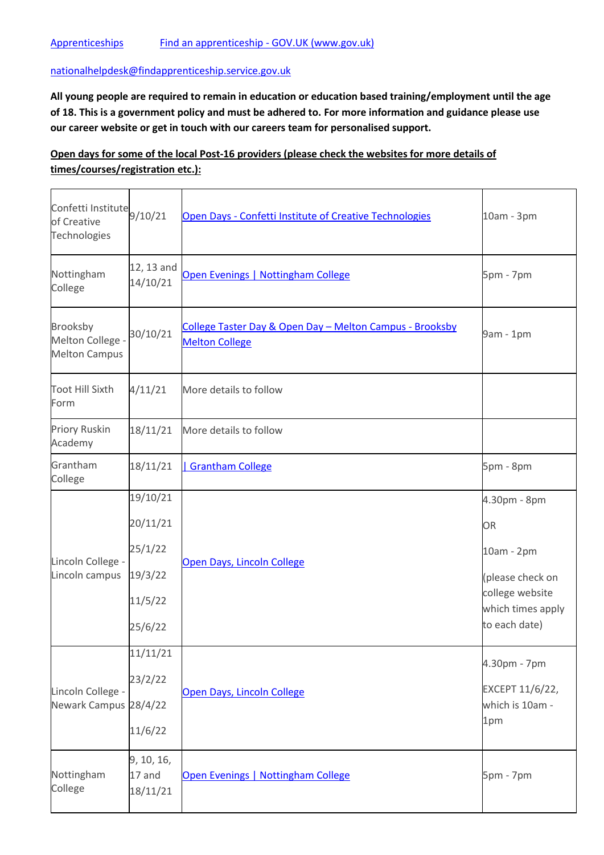#### [nationalhelpdesk@findapprenticeship.service.gov.uk](mailto:nationalhelpdesk@findapprenticeship.service.gov.uk)

**All young people are required to remain in education or education based training/employment until the age of 18. This is a government policy and must be adhered to. For more information and guidance please use our career website or get in touch with our careers team for personalised support.** 

# **Open days for some of the local Post-16 providers (please check the websites for more details of times/courses/registration etc.):**

| Confetti Institute <sup>9/10/21</sup><br>of Creative<br>Technologies |                        | Open Days - Confetti Institute of Creative Technologies                           | 10am - 3pm                           |
|----------------------------------------------------------------------|------------------------|-----------------------------------------------------------------------------------|--------------------------------------|
| Nottingham<br>College                                                | 12, 13 and<br>14/10/21 | Open Evenings   Nottingham College                                                | 5pm - 7pm                            |
| Brooksby<br>Melton College -<br><b>Melton Campus</b>                 | 30/10/21               | College Taster Day & Open Day - Melton Campus - Brooksby<br><b>Melton College</b> | 9am - 1pm                            |
| <b>Toot Hill Sixth</b><br>Form                                       | 4/11/21                | More details to follow                                                            |                                      |
| <b>Priory Ruskin</b><br>Academy                                      | 18/11/21               | More details to follow                                                            |                                      |
| Grantham<br>College                                                  | 18/11/21               | <b>Grantham College</b>                                                           | 5pm - 8pm                            |
| Lincoln College -<br>Lincoln campus                                  | 19/10/21               | Open Days, Lincoln College                                                        | 4.30pm - 8pm                         |
|                                                                      | 20/11/21               |                                                                                   | <b>OR</b>                            |
|                                                                      | 25/1/22                |                                                                                   | 10am - 2pm                           |
|                                                                      | 19/3/22                |                                                                                   | (please check on                     |
|                                                                      | 11/5/22                |                                                                                   | college website<br>which times apply |
|                                                                      | 25/6/22                |                                                                                   | to each date)                        |
| Lincoln College -<br>Newark Campus 28/4/22                           | 11/11/21               | Open Days, Lincoln College                                                        | 4.30pm - 7pm                         |
|                                                                      | 23/2/22                |                                                                                   |                                      |
|                                                                      |                        |                                                                                   | EXCEPT 11/6/22,<br>which is 10am -   |
|                                                                      | 11/6/22                |                                                                                   | 1pm                                  |
| Nottingham<br>College                                                | 9, 10, 16,<br>17 and   | Open Evenings   Nottingham College                                                | 5pm - 7pm                            |
|                                                                      | 18/11/21               |                                                                                   |                                      |